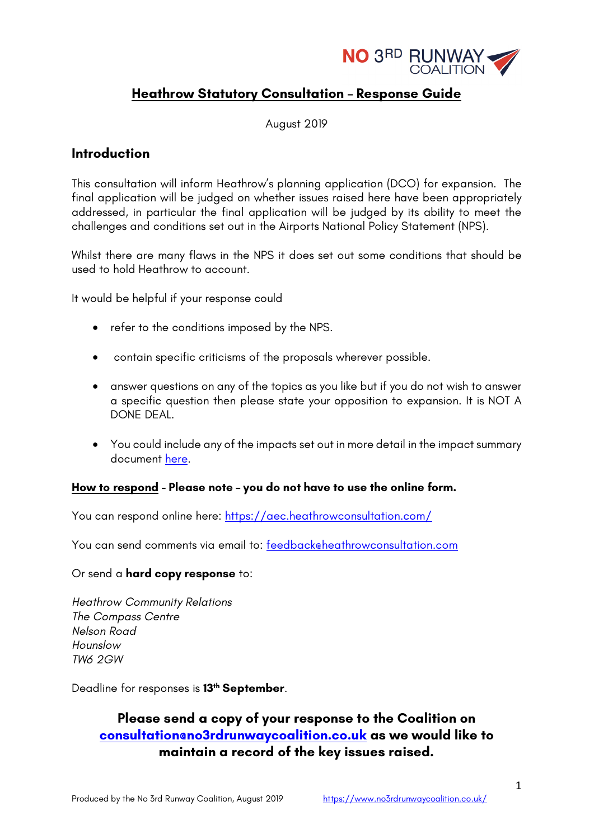

# **Heathrow Statutory Consultation – Response Guide**

August 2019

# **Introduction**

This consultation will inform Heathrow's planning application (DCO) for expansion. The final application will be judged on whether issues raised here have been appropriately addressed, in particular the final application will be judged by its ability to meet the challenges and conditions set out in the Airports National Policy Statement (NPS).

Whilst there are many flaws in the NPS it does set out some conditions that should be used to hold Heathrow to account.

It would be helpful if your response could

- refer to the conditions imposed by the NPS.
- contain specific criticisms of the proposals wherever possible.
- answer questions on any of the topics as you like but if you do not wish to answer a specific question then please state your opposition to expansion. It is NOT A DONE DEAL.
- You could include any of the impacts set out in more detail in the impact summary document here.

### **How to respond - Please note – you do not have to use the online form.**

You can respond online here: https://aec.heathrowconsultation.com/

You can send comments via email to: feedback@heathrowconsultation.com

### Or send a **hard copy response** to:

*Heathrow Community Relations The Compass Centre Nelson Road Hounslow TW6 2GW*

Deadline for responses is **13th September**.

# **Please send a copy of your response to the Coalition on consultation@no3rdrunwaycoalition.co.uk as we would like to maintain a record of the key issues raised.**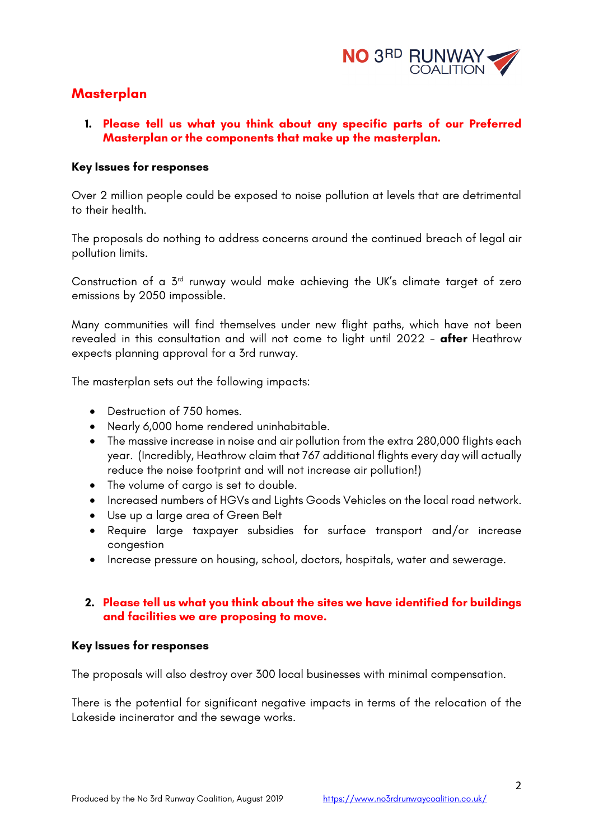

# **Masterplan**

# **1. Please tell us what you think about any specific parts of our Preferred Masterplan or the components that make up the masterplan.**

### **Key Issues for responses**

Over 2 million people could be exposed to noise pollution at levels that are detrimental to their health.

The proposals do nothing to address concerns around the continued breach of legal air pollution limits.

Construction of a 3rd runway would make achieving the UK's climate target of zero emissions by 2050 impossible.

Many communities will find themselves under new flight paths, which have not been revealed in this consultation and will not come to light until 2022 - **after** Heathrow expects planning approval for a 3rd runway.

The masterplan sets out the following impacts:

- Destruction of 750 homes.
- Nearly 6,000 home rendered uninhabitable.
- The massive increase in noise and air pollution from the extra 280,000 flights each year. (Incredibly, Heathrow claim that 767 additional flights every day will actually reduce the noise footprint and will not increase air pollution!)
- The volume of cargo is set to double.
- Increased numbers of HGVs and Lights Goods Vehicles on the local road network.
- Use up a large area of Green Belt
- Require large taxpayer subsidies for surface transport and/or increase congestion
- Increase pressure on housing, school, doctors, hospitals, water and sewerage.

# **2. Please tell us what you think about the sites we have identified for buildings and facilities we are proposing to move.**

### **Key Issues for responses**

The proposals will also destroy over 300 local businesses with minimal compensation.

There is the potential for significant negative impacts in terms of the relocation of the Lakeside incinerator and the sewage works.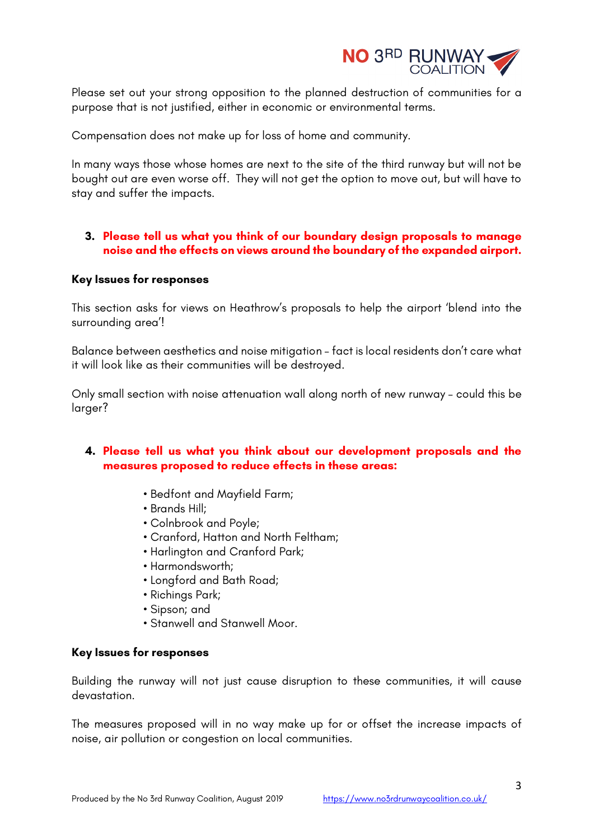

Please set out your strong opposition to the planned destruction of communities for a purpose that is not justified, either in economic or environmental terms.

Compensation does not make up for loss of home and community.

In many ways those whose homes are next to the site of the third runway but will not be bought out are even worse off. They will not get the option to move out, but will have to stay and suffer the impacts.

# **3. Please tell us what you think of our boundary design proposals to manage noise and the effects on views around the boundary of the expanded airport.**

## **Key Issues for responses**

This section asks for views on Heathrow's proposals to help the airport 'blend into the surrounding area'!

Balance between aesthetics and noise mitigation – fact is local residents don't care what it will look like as their communities will be destroyed.

Only small section with noise attenuation wall along north of new runway – could this be larger?

# **4. Please tell us what you think about our development proposals and the measures proposed to reduce effects in these areas:**

- Bedfont and Mayfield Farm;
- Brands Hill;
- Colnbrook and Poyle;
- Cranford, Hatton and North Feltham;
- Harlington and Cranford Park;
- Harmondsworth;
- Longford and Bath Road;
- Richings Park;
- Sipson; and
- Stanwell and Stanwell Moor.

### **Key Issues for responses**

Building the runway will not just cause disruption to these communities, it will cause devastation.

The measures proposed will in no way make up for or offset the increase impacts of noise, air pollution or congestion on local communities.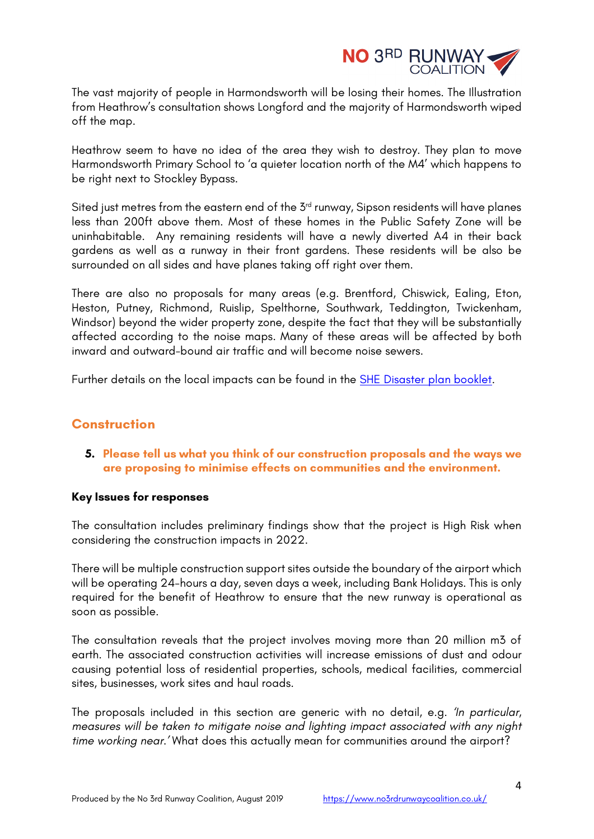

The vast majority of people in Harmondsworth will be losing their homes. The Illustration from Heathrow's consultation shows Longford and the majority of Harmondsworth wiped off the map.

Heathrow seem to have no idea of the area they wish to destroy. They plan to move Harmondsworth Primary School to 'a quieter location north of the M4' which happens to be right next to Stockley Bypass.

Sited just metres from the eastern end of the  $5<sup>rd</sup>$  runway, Sipson residents will have planes less than 200ft above them. Most of these homes in the Public Safety Zone will be uninhabitable. Any remaining residents will have a newly diverted A4 in their back gardens as well as a runway in their front gardens. These residents will be also be surrounded on all sides and have planes taking off right over them.

There are also no proposals for many areas (e.g. Brentford, Chiswick, Ealing, Eton, Heston, Putney, Richmond, Ruislip, Spelthorne, Southwark, Teddington, Twickenham, Windsor) beyond the wider property zone, despite the fact that they will be substantially affected according to the noise maps. Many of these areas will be affected by both inward and outward-bound air traffic and will become noise sewers.

Further details on the local impacts can be found in the SHE Disaster plan booklet.

# **Construction**

# **5. Please tell us what you think of our construction proposals and the ways we are proposing to minimise effects on communities and the environment.**

### **Key Issues for responses**

The consultation includes preliminary findings show that the project is High Risk when considering the construction impacts in 2022.

There will be multiple construction support sites outside the boundary of the airport which will be operating 24-hours a day, seven days a week, including Bank Holidays. This is only required for the benefit of Heathrow to ensure that the new runway is operational as soon as possible.

The consultation reveals that the project involves moving more than 20 million m3 of earth. The associated construction activities will increase emissions of dust and odour causing potential loss of residential properties, schools, medical facilities, commercial sites, businesses, work sites and haul roads.

The proposals included in this section are generic with no detail, e.g. *'In particular, measures will be taken to mitigate noise and lighting impact associated with any night time working near.'* What does this actually mean for communities around the airport?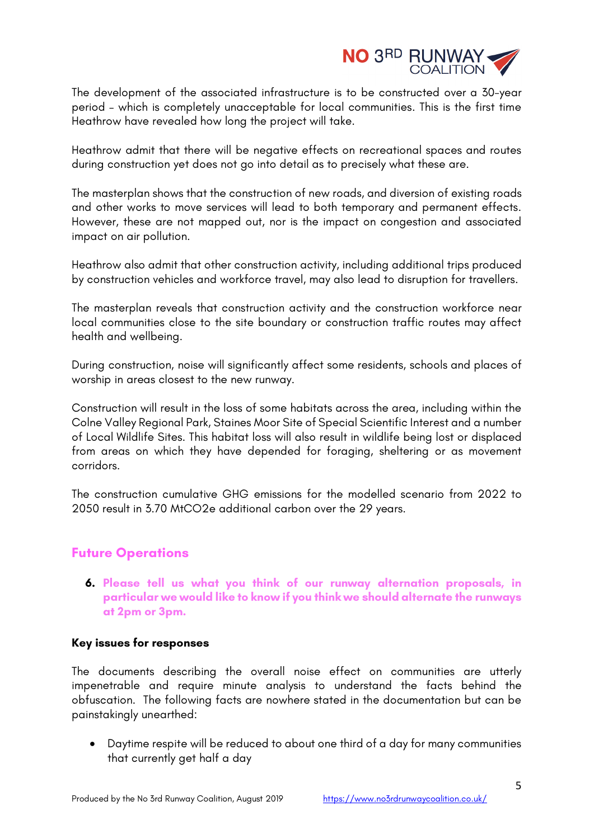

The development of the associated infrastructure is to be constructed over a 30-year period – which is completely unacceptable for local communities. This is the first time Heathrow have revealed how long the project will take.

Heathrow admit that there will be negative effects on recreational spaces and routes during construction yet does not go into detail as to precisely what these are.

The masterplan shows that the construction of new roads, and diversion of existing roads and other works to move services will lead to both temporary and permanent effects. However, these are not mapped out, nor is the impact on congestion and associated impact on air pollution.

Heathrow also admit that other construction activity, including additional trips produced by construction vehicles and workforce travel, may also lead to disruption for travellers.

The masterplan reveals that construction activity and the construction workforce near local communities close to the site boundary or construction traffic routes may affect health and wellbeing.

During construction, noise will significantly affect some residents, schools and places of worship in areas closest to the new runway.

Construction will result in the loss of some habitats across the area, including within the Colne Valley Regional Park, Staines Moor Site of Special Scientific Interest and a number of Local Wildlife Sites. This habitat loss will also result in wildlife being lost or displaced from areas on which they have depended for foraging, sheltering or as movement corridors.

The construction cumulative GHG emissions for the modelled scenario from 2022 to 2050 result in 3.70 MtCO2e additional carbon over the 29 years.

# **Future Operations**

**6. Please tell us what you think of our runway alternation proposals, in particular we would like to know if you think we should alternate the runways at 2pm or 3pm.** 

### **Key issues for responses**

The documents describing the overall noise effect on communities are utterly impenetrable and require minute analysis to understand the facts behind the obfuscation. The following facts are nowhere stated in the documentation but can be painstakingly unearthed:

• Daytime respite will be reduced to about one third of a day for many communities that currently get half a day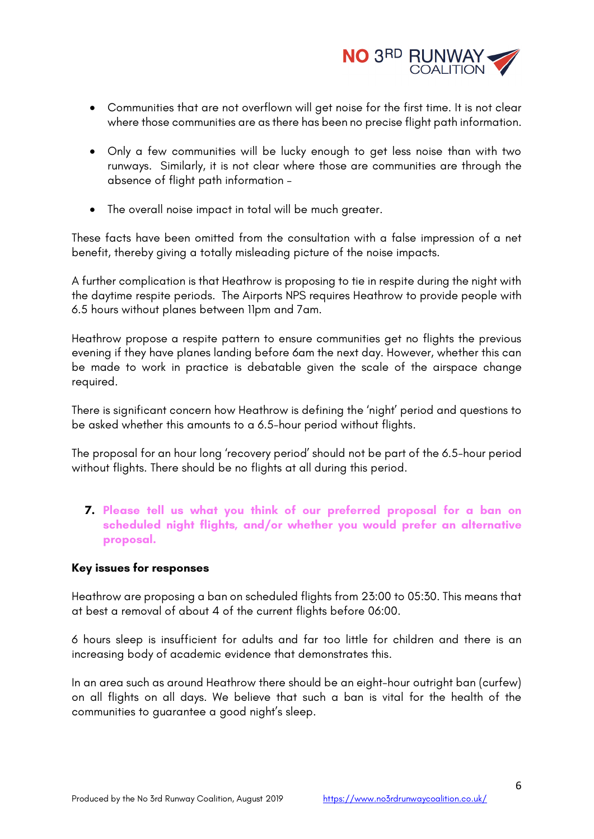

- Communities that are not overflown will get noise for the first time. It is not clear where those communities are as there has been no precise flight path information.
- Only a few communities will be lucky enough to get less noise than with two runways. Similarly, it is not clear where those are communities are through the absence of flight path information –
- The overall noise impact in total will be much greater.

These facts have been omitted from the consultation with a false impression of a net benefit, thereby giving a totally misleading picture of the noise impacts.

A further complication is that Heathrow is proposing to tie in respite during the night with the daytime respite periods. The Airports NPS requires Heathrow to provide people with 6.5 hours without planes between 11pm and 7am.

Heathrow propose a respite pattern to ensure communities get no flights the previous evening if they have planes landing before 6am the next day. However, whether this can be made to work in practice is debatable given the scale of the airspace change required.

There is significant concern how Heathrow is defining the 'night' period and questions to be asked whether this amounts to a 6.5-hour period without flights.

The proposal for an hour long 'recovery period' should not be part of the 6.5-hour period without flights. There should be no flights at all during this period.

**7. Please tell us what you think of our preferred proposal for a ban on scheduled night flights, and/or whether you would prefer an alternative proposal.** 

# **Key issues for responses**

Heathrow are proposing a ban on scheduled flights from 23:00 to 05:30. This means that at best a removal of about 4 of the current flights before 06:00.

6 hours sleep is insufficient for adults and far too little for children and there is an increasing body of academic evidence that demonstrates this.

In an area such as around Heathrow there should be an eight-hour outright ban (curfew) on all flights on all days. We believe that such a ban is vital for the health of the communities to guarantee a good night's sleep.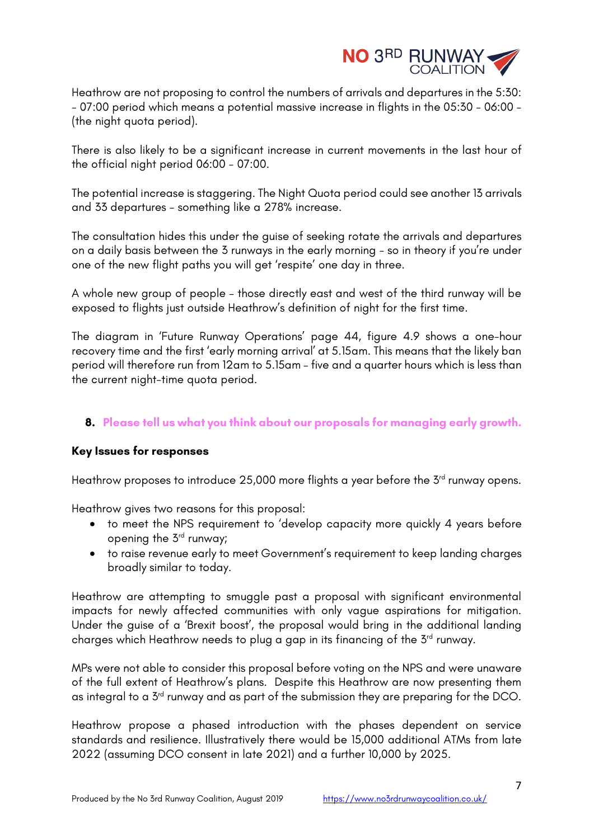

Heathrow are not proposing to control the numbers of arrivals and departures in the 5:30: - 07:00 period which means a potential massive increase in flights in the 05:30 - 06:00 - (the night quota period).

There is also likely to be a significant increase in current movements in the last hour of the official night period 06:00 - 07:00.

The potential increase is staggering. The Night Quota period could see another 13 arrivals and 33 departures - something like a 278% increase.

The consultation hides this under the guise of seeking rotate the arrivals and departures on a daily basis between the 3 runways in the early morning - so in theory if you're under one of the new flight paths you will get 'respite' one day in three.

A whole new group of people – those directly east and west of the third runway will be exposed to flights just outside Heathrow's definition of night for the first time.

The diagram in 'Future Runway Operations' page 44, figure 4.9 shows a one-hour recovery time and the first 'early morning arrival' at 5.15am. This means that the likely ban period will therefore run from 12am to 5.15am – five and a quarter hours which is less than the current night-time quota period.

# **8. Please tell us what you think about our proposals for managing early growth.**

# **Key Issues for responses**

Heathrow proposes to introduce 25,000 more flights a year before the  $5<sup>rd</sup>$  runway opens.

Heathrow gives two reasons for this proposal:

- to meet the NPS requirement to 'develop capacity more quickly 4 years before opening the 3rd runway;
- to raise revenue early to meet Government's requirement to keep landing charges broadly similar to today.

Heathrow are attempting to smuggle past a proposal with significant environmental impacts for newly affected communities with only vague aspirations for mitigation. Under the guise of a 'Brexit boost', the proposal would bring in the additional landing charges which Heathrow needs to plug a gap in its financing of the 3rd runway.

MPs were not able to consider this proposal before voting on the NPS and were unaware of the full extent of Heathrow's plans. Despite this Heathrow are now presenting them as integral to a 3<sup>rd</sup> runway and as part of the submission they are preparing for the DCO.

Heathrow propose a phased introduction with the phases dependent on service standards and resilience. Illustratively there would be 15,000 additional ATMs from late 2022 (assuming DCO consent in late 2021) and a further 10,000 by 2025.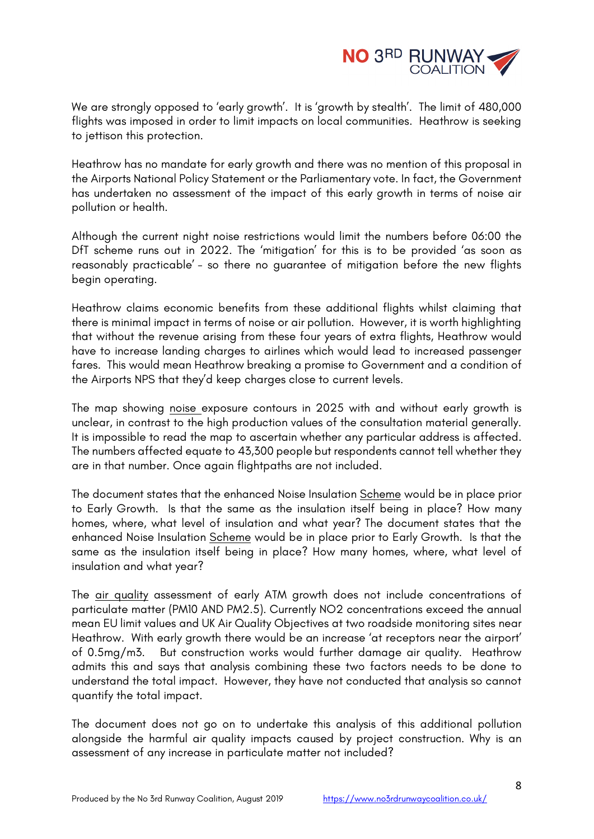

We are strongly opposed to 'early growth'. It is 'growth by stealth'. The limit of 480,000 flights was imposed in order to limit impacts on local communities. Heathrow is seeking to jettison this protection.

Heathrow has no mandate for early growth and there was no mention of this proposal in the Airports National Policy Statement or the Parliamentary vote. In fact, the Government has undertaken no assessment of the impact of this early growth in terms of noise air pollution or health.

Although the current night noise restrictions would limit the numbers before 06:00 the DfT scheme runs out in 2022. The 'mitigation' for this is to be provided 'as soon as reasonably practicable' - so there no guarantee of mitigation before the new flights begin operating.

Heathrow claims economic benefits from these additional flights whilst claiming that there is minimal impact in terms of noise or air pollution. However, it is worth highlighting that without the revenue arising from these four years of extra flights, Heathrow would have to increase landing charges to airlines which would lead to increased passenger fares. This would mean Heathrow breaking a promise to Government and a condition of the Airports NPS that they'd keep charges close to current levels.

The map showing noise exposure contours in 2025 with and without early growth is unclear, in contrast to the high production values of the consultation material generally. It is impossible to read the map to ascertain whether any particular address is affected. The numbers affected equate to 43,300 people but respondents cannot tell whether they are in that number. Once again flightpaths are not included.

The document states that the enhanced Noise Insulation Scheme would be in place prior to Early Growth. Is that the same as the insulation itself being in place? How many homes, where, what level of insulation and what year? The document states that the enhanced Noise Insulation Scheme would be in place prior to Early Growth. Is that the same as the insulation itself being in place? How many homes, where, what level of insulation and what year?

The air quality assessment of early ATM growth does not include concentrations of particulate matter (PM10 AND PM2.5). Currently NO2 concentrations exceed the annual mean EU limit values and UK Air Quality Objectives at two roadside monitoring sites near Heathrow. With early growth there would be an increase 'at receptors near the airport' of 0.5mg/m3. But construction works would further damage air quality. Heathrow admits this and says that analysis combining these two factors needs to be done to understand the total impact. However, they have not conducted that analysis so cannot quantify the total impact.

The document does not go on to undertake this analysis of this additional pollution alongside the harmful air quality impacts caused by project construction. Why is an assessment of any increase in particulate matter not included?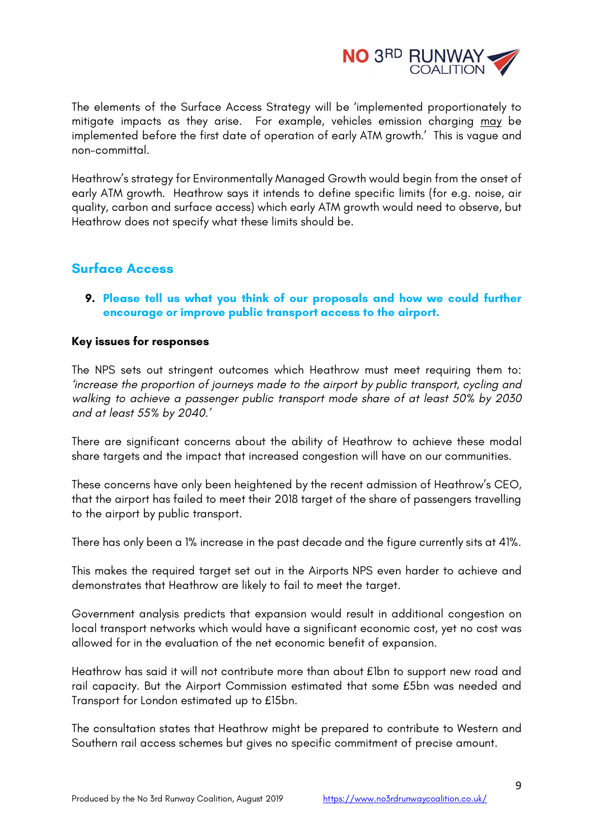

The elements of the Surface Access Strategy will be 'implemented proportionately to mitigate impacts as they arise. For example, vehicles emission charging may be implemented before the first date of operation of early ATM growth.' This is vague and non-committal.

Heathrow's strategy for Environmentally Managed Growth would begin from the onset of early ATM growth. Heathrow says it intends to define specific limits (for e.g. noise, air quality, carbon and surface access) which early ATM growth would need to observe, but Heathrow does not specify what these limits should be.

# **Surface Access**

**9. Please tell us what you think of our proposals and how we could further encourage or improve public transport access to the airport.** 

# **Key issues for responses**

The NPS sets out stringent outcomes which Heathrow must meet requiring them to: *'increase the proportion of journeys made to the airport by public transport, cycling and walking to achieve a passenger public transport mode share of at least 50% by 2030 and at least 55% by 2040.'*

There are significant concerns about the ability of Heathrow to achieve these modal share targets and the impact that increased congestion will have on our communities.

These concerns have only been heightened by the recent admission of Heathrow's CEO, that the airport has failed to meet their 2018 target of the share of passengers travelling to the airport by public transport.

There has only been a 1% increase in the past decade and the figure currently sits at 41%.

This makes the required target set out in the Airports NPS even harder to achieve and demonstrates that Heathrow are likely to fail to meet the target.

Government analysis predicts that expansion would result in additional congestion on local transport networks which would have a significant economic cost, yet no cost was allowed for in the evaluation of the net economic benefit of expansion.

Heathrow has said it will not contribute more than about £1bn to support new road and rail capacity. But the Airport Commission estimated that some £5bn was needed and Transport for London estimated up to £15bn.

The consultation states that Heathrow might be prepared to contribute to Western and Southern rail access schemes but gives no specific commitment of precise amount.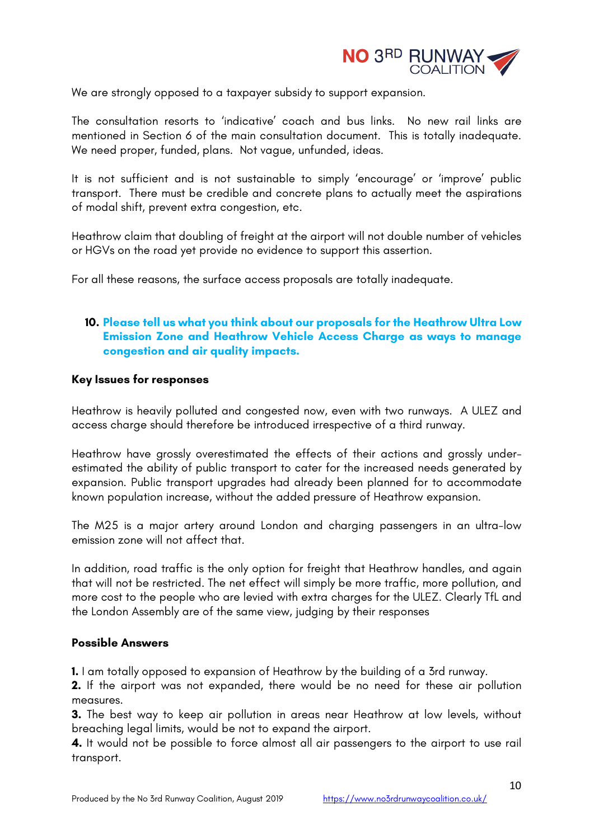

We are strongly opposed to a taxpayer subsidy to support expansion.

The consultation resorts to 'indicative' coach and bus links. No new rail links are mentioned in Section 6 of the main consultation document. This is totally inadequate. We need proper, funded, plans. Not vague, unfunded, ideas.

It is not sufficient and is not sustainable to simply 'encourage' or 'improve' public transport. There must be credible and concrete plans to actually meet the aspirations of modal shift, prevent extra congestion, etc.

Heathrow claim that doubling of freight at the airport will not double number of vehicles or HGVs on the road yet provide no evidence to support this assertion.

For all these reasons, the surface access proposals are totally inadequate.

# **10. Please tell us what you think about our proposals for the Heathrow Ultra Low Emission Zone and Heathrow Vehicle Access Charge as ways to manage congestion and air quality impacts.**

## **Key Issues for responses**

Heathrow is heavily polluted and congested now, even with two runways. A ULEZ and access charge should therefore be introduced irrespective of a third runway.

Heathrow have grossly overestimated the effects of their actions and grossly underestimated the ability of public transport to cater for the increased needs generated by expansion. Public transport upgrades had already been planned for to accommodate known population increase, without the added pressure of Heathrow expansion.

The M25 is a major artery around London and charging passengers in an ultra-low emission zone will not affect that.

In addition, road traffic is the only option for freight that Heathrow handles, and again that will not be restricted. The net effect will simply be more traffic, more pollution, and more cost to the people who are levied with extra charges for the ULEZ. Clearly TfL and the London Assembly are of the same view, judging by their responses

### **Possible Answers**

**1.** I am totally opposed to expansion of Heathrow by the building of a 3rd runway.

**2.** If the airport was not expanded, there would be no need for these air pollution measures.

**3.** The best way to keep air pollution in areas near Heathrow at low levels, without breaching legal limits, would be not to expand the airport.

**4.** It would not be possible to force almost all air passengers to the airport to use rail transport.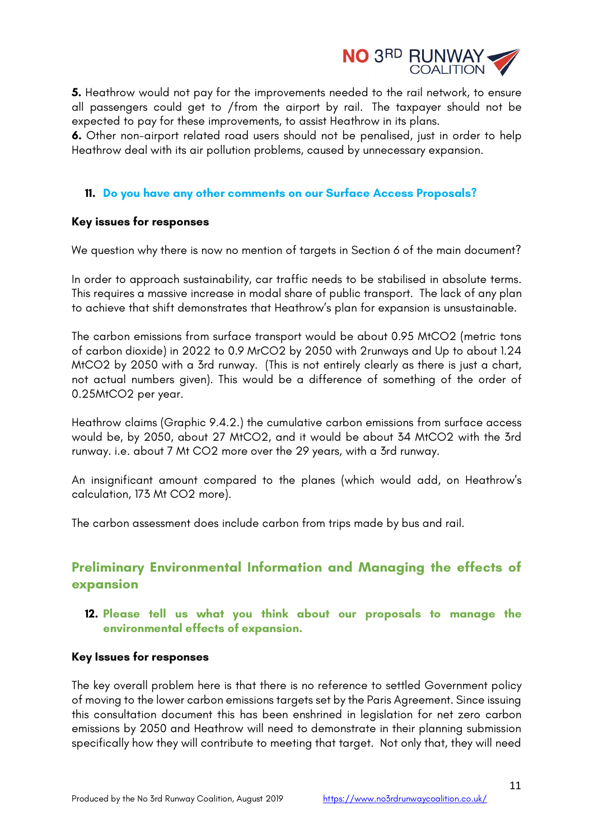

**5.** Heathrow would not pay for the improvements needed to the rail network, to ensure all passengers could get to /from the airport by rail. The taxpayer should not be expected to pay for these improvements, to assist Heathrow in its plans.

**6.** Other non-airport related road users should not be penalised, just in order to help Heathrow deal with its air pollution problems, caused by unnecessary expansion.

## **11. Do you have any other comments on our Surface Access Proposals?**

### **Key issues for responses**

We question why there is now no mention of targets in Section 6 of the main document?

In order to approach sustainability, car traffic needs to be stabilised in absolute terms. This requires a massive increase in modal share of public transport. The lack of any plan to achieve that shift demonstrates that Heathrow's plan for expansion is unsustainable.

The carbon emissions from surface transport would be about 0.95 MtCO2 (metric tons of carbon dioxide) in 2022 to 0.9 MrCO2 by 2050 with 2runways and Up to about 1.24 MtCO2 by 2050 with a 3rd runway. (This is not entirely clearly as there is just a chart, not actual numbers given). This would be a difference of something of the order of 0.25MtCO2 per year.

Heathrow claims (Graphic 9.4.2.) the cumulative carbon emissions from surface access would be, by 2050, about 27 MtCO2, and it would be about 34 MtCO2 with the 3rd runway. i.e. about 7 Mt CO2 more over the 29 years, with a 3rd runway.

An insignificant amount compared to the planes (which would add, on Heathrow's calculation, 173 Mt CO2 more).

The carbon assessment does include carbon from trips made by bus and rail.

# **Preliminary Environmental Information and Managing the effects of expansion**

**12. Please tell us what you think about our proposals to manage the environmental effects of expansion.** 

### **Key Issues for responses**

The key overall problem here is that there is no reference to settled Government policy of moving to the lower carbon emissions targets set by the Paris Agreement. Since issuing this consultation document this has been enshrined in legislation for net zero carbon emissions by 2050 and Heathrow will need to demonstrate in their planning submission specifically how they will contribute to meeting that target. Not only that, they will need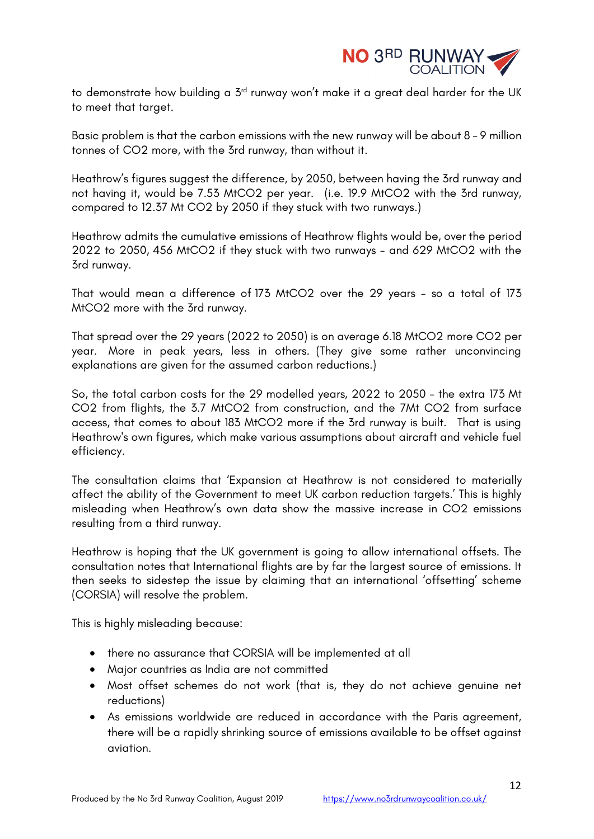

to demonstrate how building a  $5<sup>rd</sup>$  runway won't make it a great deal harder for the UK to meet that target.

Basic problem is that the carbon emissions with the new runway will be about 8 - 9 million tonnes of CO2 more, with the 3rd runway, than without it.

Heathrow's figures suggest the difference, by 2050, between having the 3rd runway and not having it, would be 7.53 MtCO2 per year. (i.e. 19.9 MtCO2 with the 3rd runway, compared to 12.37 Mt CO2 by 2050 if they stuck with two runways.)

Heathrow admits the cumulative emissions of Heathrow flights would be, over the period 2022 to 2050, 456 MtCO2 if they stuck with two runways - and 629 MtCO2 with the 3rd runway.

That would mean a difference of 173 MtCO2 over the 29 years - so a total of 173 MtCO2 more with the 3rd runway.

That spread over the 29 years (2022 to 2050) is on average 6.18 MtCO2 more CO2 per year. More in peak years, less in others. (They give some rather unconvincing explanations are given for the assumed carbon reductions.)

So, the total carbon costs for the 29 modelled years, 2022 to 2050 - the extra 173 Mt CO2 from flights, the 3.7 MtCO2 from construction, and the 7Mt CO2 from surface access, that comes to about 183 MtCO2 more if the 3rd runway is built. That is using Heathrow's own figures, which make various assumptions about aircraft and vehicle fuel efficiency.

The consultation claims that 'Expansion at Heathrow is not considered to materially affect the ability of the Government to meet UK carbon reduction targets.' This is highly misleading when Heathrow's own data show the massive increase in CO2 emissions resulting from a third runway.

Heathrow is hoping that the UK government is going to allow international offsets. The consultation notes that International flights are by far the largest source of emissions. It then seeks to sidestep the issue by claiming that an international 'offsetting' scheme (CORSIA) will resolve the problem.

This is highly misleading because:

- there no assurance that CORSIA will be implemented at all
- Major countries as India are not committed
- Most offset schemes do not work (that is, they do not achieve genuine net reductions)
- As emissions worldwide are reduced in accordance with the Paris agreement, there will be a rapidly shrinking source of emissions available to be offset against aviation.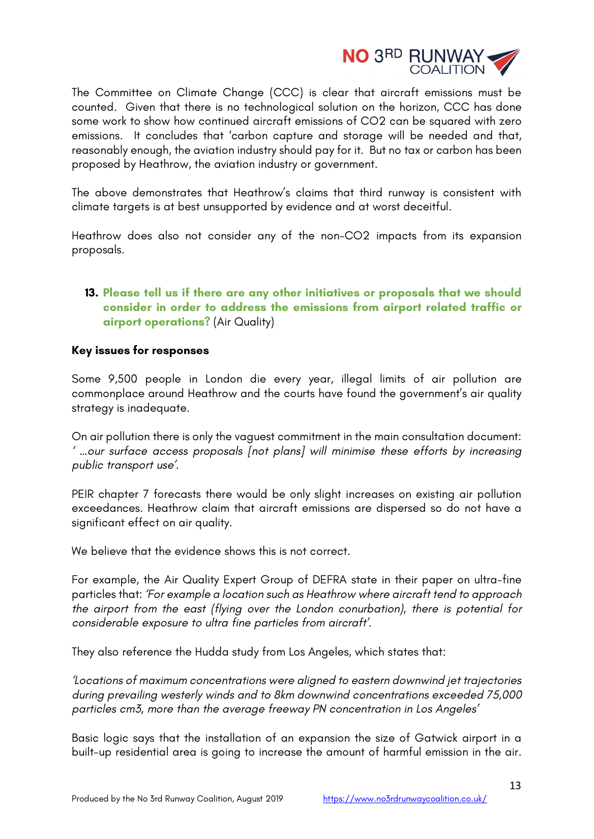

The Committee on Climate Change (CCC) is clear that aircraft emissions must be counted. Given that there is no technological solution on the horizon, CCC has done some work to show how continued aircraft emissions of CO2 can be squared with zero emissions. It concludes that 'carbon capture and storage will be needed and that, reasonably enough, the aviation industry should pay for it. But no tax or carbon has been proposed by Heathrow, the aviation industry or government.

The above demonstrates that Heathrow's claims that third runway is consistent with climate targets is at best unsupported by evidence and at worst deceitful.

Heathrow does also not consider any of the non-CO2 impacts from its expansion proposals.

# **13. Please tell us if there are any other initiatives or proposals that we should consider in order to address the emissions from airport related traffic or airport operations?** (Air Quality)

## **Key issues for responses**

Some 9,500 people in London die every year, illegal limits of air pollution are commonplace around Heathrow and the courts have found the government's air quality strategy is inadequate.

On air pollution there is only the vaguest commitment in the main consultation document: *' …our surface access proposals [not plans] will minimise these efforts by increasing public transport use'.*

PEIR chapter 7 forecasts there would be only slight increases on existing air pollution exceedances. Heathrow claim that aircraft emissions are dispersed so do not have a significant effect on air quality.

We believe that the evidence shows this is not correct.

For example, the Air Quality Expert Group of DEFRA state in their paper on ultra-fine particles that: *'For example a location such as Heathrow where aircraft tend to approach the airport from the east (flying over the London conurbation), there is potential for considerable exposure to ultra fine particles from aircraft'.*

They also reference the Hudda study from Los Angeles, which states that:

*'Locations of maximum concentrations were aligned to eastern downwind jet trajectories during prevailing westerly winds and to 8km downwind concentrations exceeded 75,000 particles cm3, more than the average freeway PN concentration in Los Angeles'*

Basic logic says that the installation of an expansion the size of Gatwick airport in a built-up residential area is going to increase the amount of harmful emission in the air.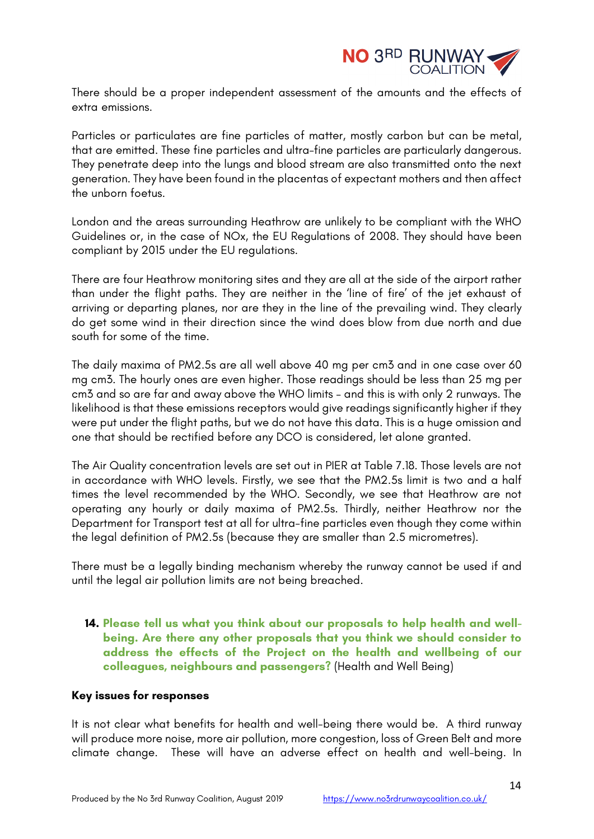

There should be a proper independent assessment of the amounts and the effects of extra emissions.

Particles or particulates are fine particles of matter, mostly carbon but can be metal, that are emitted. These fine particles and ultra-fine particles are particularly dangerous. They penetrate deep into the lungs and blood stream are also transmitted onto the next generation. They have been found in the placentas of expectant mothers and then affect the unborn foetus.

London and the areas surrounding Heathrow are unlikely to be compliant with the WHO Guidelines or, in the case of NOx, the EU Regulations of 2008. They should have been compliant by 2015 under the EU regulations.

There are four Heathrow monitoring sites and they are all at the side of the airport rather than under the flight paths. They are neither in the 'line of fire' of the jet exhaust of arriving or departing planes, nor are they in the line of the prevailing wind. They clearly do get some wind in their direction since the wind does blow from due north and due south for some of the time.

The daily maxima of PM2.5s are all well above 40 mg per cm3 and in one case over 60 mg cm3. The hourly ones are even higher. Those readings should be less than 25 mg per cm3 and so are far and away above the WHO limits – and this is with only 2 runways. The likelihood is that these emissions receptors would give readings significantly higher if they were put under the flight paths, but we do not have this data. This is a huge omission and one that should be rectified before any DCO is considered, let alone granted.

The Air Quality concentration levels are set out in PIER at Table 7.18. Those levels are not in accordance with WHO levels. Firstly, we see that the PM2.5s limit is two and a half times the level recommended by the WHO. Secondly, we see that Heathrow are not operating any hourly or daily maxima of PM2.5s. Thirdly, neither Heathrow nor the Department for Transport test at all for ultra-fine particles even though they come within the legal definition of PM2.5s (because they are smaller than 2.5 micrometres).

There must be a legally binding mechanism whereby the runway cannot be used if and until the legal air pollution limits are not being breached.

**14. Please tell us what you think about our proposals to help health and wellbeing. Are there any other proposals that you think we should consider to address the effects of the Project on the health and wellbeing of our colleagues, neighbours and passengers?** (Health and Well Being)

### **Key issues for responses**

It is not clear what benefits for health and well-being there would be. A third runway will produce more noise, more air pollution, more congestion, loss of Green Belt and more climate change. These will have an adverse effect on health and well-being. In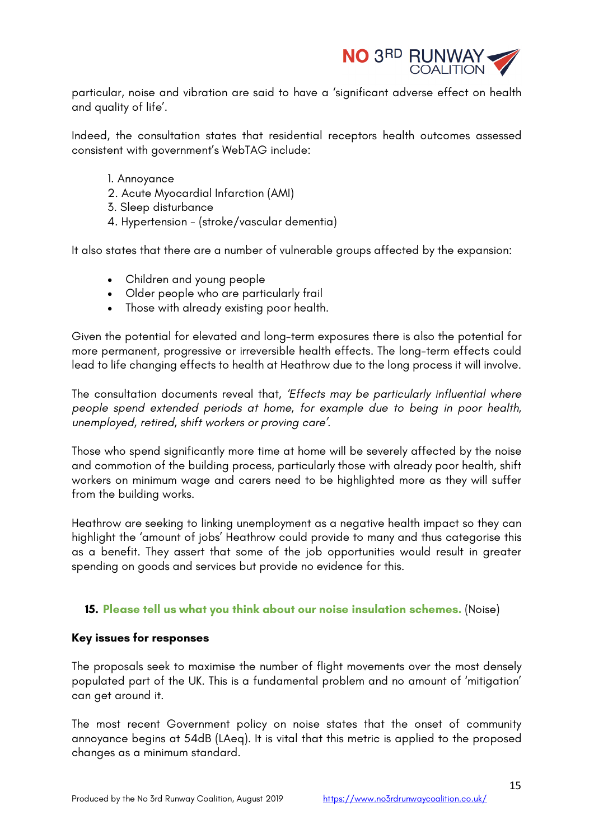

particular, noise and vibration are said to have a 'significant adverse effect on health and quality of life'.

Indeed, the consultation states that residential receptors health outcomes assessed consistent with government's WebTAG include:

- 1. Annoyance
- 2. Acute Myocardial Infarction (AMI)
- 3. Sleep disturbance
- 4. Hypertension (stroke/vascular dementia)

It also states that there are a number of vulnerable groups affected by the expansion:

- Children and young people
- Older people who are particularly frail
- Those with already existing poor health.

Given the potential for elevated and long-term exposures there is also the potential for more permanent, progressive or irreversible health effects. The long-term effects could lead to life changing effects to health at Heathrow due to the long process it will involve.

The consultation documents reveal that, *'Effects may be particularly influential where people spend extended periods at home, for example due to being in poor health, unemployed, retired, shift workers or proving care'.*

Those who spend significantly more time at home will be severely affected by the noise and commotion of the building process, particularly those with already poor health, shift workers on minimum wage and carers need to be highlighted more as they will suffer from the building works.

Heathrow are seeking to linking unemployment as a negative health impact so they can highlight the 'amount of jobs' Heathrow could provide to many and thus categorise this as a benefit. They assert that some of the job opportunities would result in greater spending on goods and services but provide no evidence for this.

### **15. Please tell us what you think about our noise insulation schemes.** (Noise)

### **Key issues for responses**

The proposals seek to maximise the number of flight movements over the most densely populated part of the UK. This is a fundamental problem and no amount of 'mitigation' can get around it.

The most recent Government policy on noise states that the onset of community annoyance begins at 54dB (LAeq). It is vital that this metric is applied to the proposed changes as a minimum standard.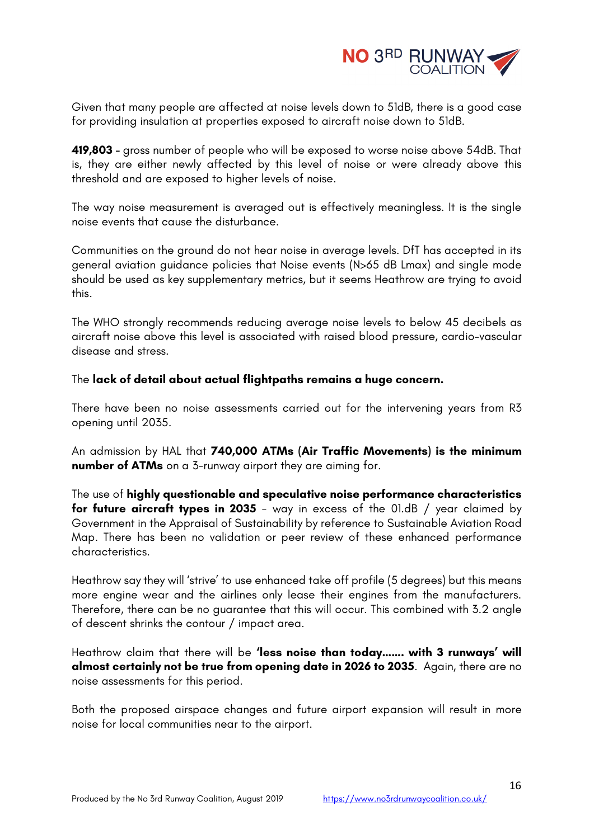

Given that many people are affected at noise levels down to 51dB, there is a good case for providing insulation at properties exposed to aircraft noise down to 51dB.

**419,803 -** gross number of people who will be exposed to worse noise above 54dB. That is, they are either newly affected by this level of noise or were already above this threshold and are exposed to higher levels of noise.

The way noise measurement is averaged out is effectively meaningless. It is the single noise events that cause the disturbance.

Communities on the ground do not hear noise in average levels. DfT has accepted in its general aviation guidance policies that Noise events (N>65 dB Lmax) and single mode should be used as key supplementary metrics, but it seems Heathrow are trying to avoid this.

The WHO strongly recommends reducing average noise levels to below 45 decibels as aircraft noise above this level is associated with raised blood pressure, cardio-vascular disease and stress.

The **lack of detail about actual flightpaths remains a huge concern.**

There have been no noise assessments carried out for the intervening years from R3 opening until 2035.

An admission by HAL that **740,000 ATMs (Air Traffic Movements) is the minimum number of ATMs** on a 3-runway airport they are aiming for.

The use of **highly questionable and speculative noise performance characteristics for future aircraft types in 2035** - way in excess of the 01.dB / year claimed by Government in the Appraisal of Sustainability by reference to Sustainable Aviation Road Map. There has been no validation or peer review of these enhanced performance characteristics.

Heathrow say they will 'strive' to use enhanced take off profile (5 degrees) but this means more engine wear and the airlines only lease their engines from the manufacturers. Therefore, there can be no guarantee that this will occur. This combined with 3.2 angle of descent shrinks the contour / impact area.

Heathrow claim that there will be **'less noise than today……. with 3 runways' will almost certainly not be true from opening date in 2026 to 2035**. Again, there are no noise assessments for this period.

Both the proposed airspace changes and future airport expansion will result in more noise for local communities near to the airport.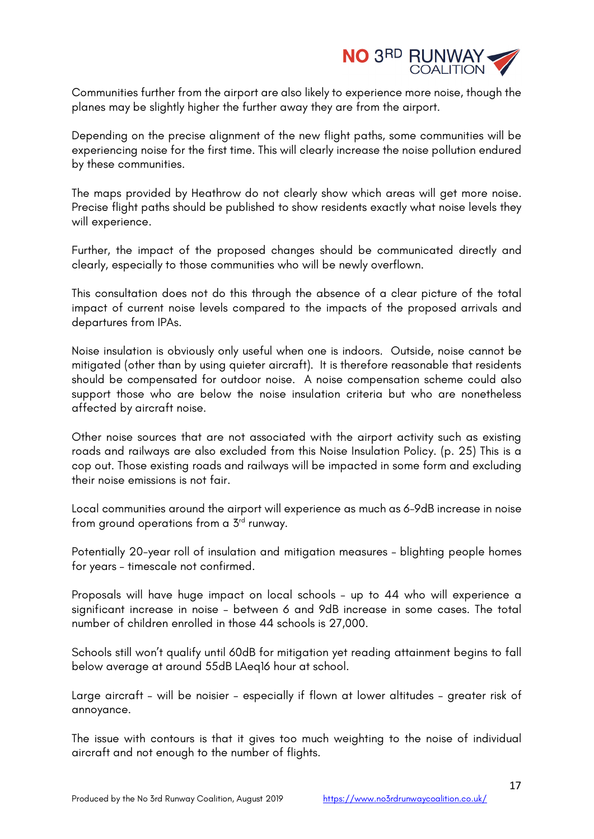

Communities further from the airport are also likely to experience more noise, though the planes may be slightly higher the further away they are from the airport.

Depending on the precise alignment of the new flight paths, some communities will be experiencing noise for the first time. This will clearly increase the noise pollution endured by these communities.

The maps provided by Heathrow do not clearly show which areas will get more noise. Precise flight paths should be published to show residents exactly what noise levels they will experience.

Further, the impact of the proposed changes should be communicated directly and clearly, especially to those communities who will be newly overflown.

This consultation does not do this through the absence of a clear picture of the total impact of current noise levels compared to the impacts of the proposed arrivals and departures from IPAs.

Noise insulation is obviously only useful when one is indoors. Outside, noise cannot be mitigated (other than by using quieter aircraft). It is therefore reasonable that residents should be compensated for outdoor noise. A noise compensation scheme could also support those who are below the noise insulation criteria but who are nonetheless affected by aircraft noise.

Other noise sources that are not associated with the airport activity such as existing roads and railways are also excluded from this Noise Insulation Policy. (p. 25) This is a cop out. Those existing roads and railways will be impacted in some form and excluding their noise emissions is not fair.

Local communities around the airport will experience as much as 6-9dB increase in noise from ground operations from a 3<sup>rd</sup> runway.

Potentially 20-year roll of insulation and mitigation measures – blighting people homes for years – timescale not confirmed.

Proposals will have huge impact on local schools – up to 44 who will experience a significant increase in noise – between 6 and 9dB increase in some cases. The total number of children enrolled in those 44 schools is 27,000.

Schools still won't qualify until 60dB for mitigation yet reading attainment begins to fall below average at around 55dB LAeq16 hour at school.

Large aircraft – will be noisier – especially if flown at lower altitudes – greater risk of annoyance.

The issue with contours is that it gives too much weighting to the noise of individual aircraft and not enough to the number of flights.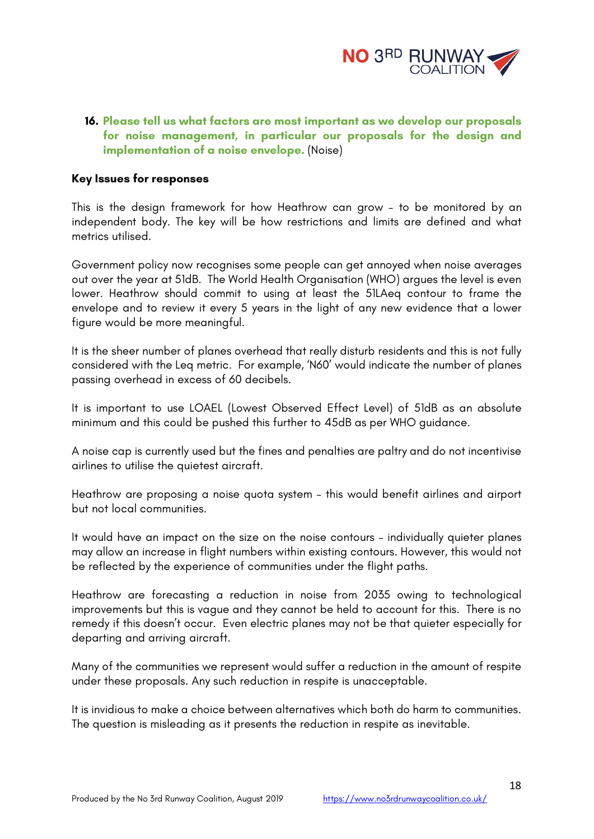

## **16. Please tell us what factors are most important as we develop our proposals for noise management, in particular our proposals for the design and implementation of a noise envelope.** (Noise)

### **Key Issues for responses**

This is the design framework for how Heathrow can grow – to be monitored by an independent body. The key will be how restrictions and limits are defined and what metrics utilised.

Government policy now recognises some people can get annoyed when noise averages out over the year at 51dB. The World Health Organisation (WHO) argues the level is even lower. Heathrow should commit to using at least the 51LAeq contour to frame the envelope and to review it every 5 years in the light of any new evidence that a lower figure would be more meaningful.

It is the sheer number of planes overhead that really disturb residents and this is not fully considered with the Leq metric. For example, 'N60' would indicate the number of planes passing overhead in excess of 60 decibels.

It is important to use LOAEL (Lowest Observed Effect Level) of 51dB as an absolute minimum and this could be pushed this further to 45dB as per WHO guidance.

A noise cap is currently used but the fines and penalties are paltry and do not incentivise airlines to utilise the quietest aircraft.

Heathrow are proposing a noise quota system – this would benefit airlines and airport but not local communities.

It would have an impact on the size on the noise contours – individually quieter planes may allow an increase in flight numbers within existing contours. However, this would not be reflected by the experience of communities under the flight paths.

Heathrow are forecasting a reduction in noise from 2035 owing to technological improvements but this is vague and they cannot be held to account for this. There is no remedy if this doesn't occur. Even electric planes may not be that quieter especially for departing and arriving aircraft.

Many of the communities we represent would suffer a reduction in the amount of respite under these proposals. Any such reduction in respite is unacceptable.

It is invidious to make a choice between alternatives which both do harm to communities. The question is misleading as it presents the reduction in respite as inevitable.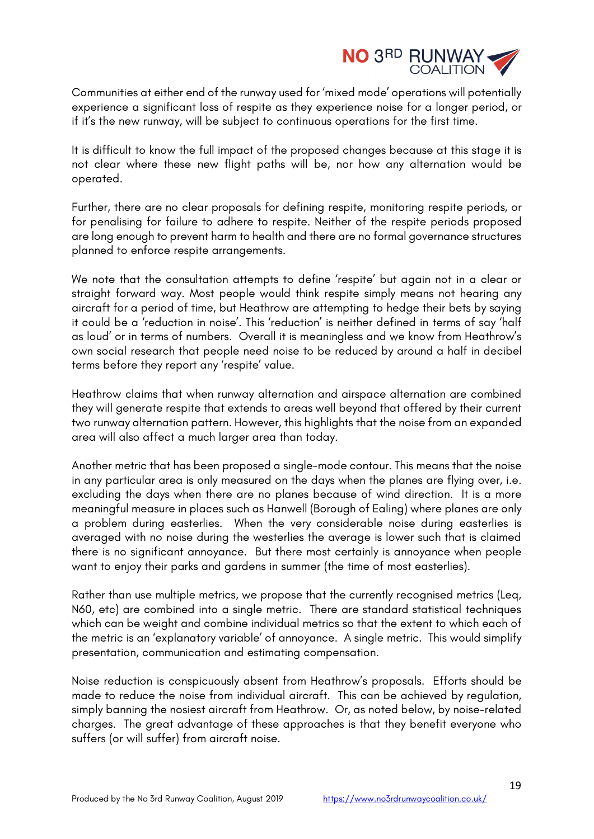

Communities at either end of the runway used for 'mixed mode' operations will potentially experience a significant loss of respite as they experience noise for a longer period, or if it's the new runway, will be subject to continuous operations for the first time.

It is difficult to know the full impact of the proposed changes because at this stage it is not clear where these new flight paths will be, nor how any alternation would be operated.

Further, there are no clear proposals for defining respite, monitoring respite periods, or for penalising for failure to adhere to respite. Neither of the respite periods proposed are long enough to prevent harm to health and there are no formal governance structures planned to enforce respite arrangements.

We note that the consultation attempts to define 'respite' but again not in a clear or straight forward way. Most people would think respite simply means not hearing any aircraft for a period of time, but Heathrow are attempting to hedge their bets by saying it could be a 'reduction in noise'. This 'reduction' is neither defined in terms of say 'half as loud' or in terms of numbers. Overall it is meaningless and we know from Heathrow's own social research that people need noise to be reduced by around a half in decibel terms before they report any 'respite' value.

Heathrow claims that when runway alternation and airspace alternation are combined they will generate respite that extends to areas well beyond that offered by their current two runway alternation pattern. However, this highlights that the noise from an expanded area will also affect a much larger area than today.

Another metric that has been proposed a single-mode contour. This means that the noise in any particular area is only measured on the days when the planes are flying over, i.e. excluding the days when there are no planes because of wind direction. It is a more meaningful measure in places such as Hanwell (Borough of Ealing) where planes are only a problem during easterlies. When the very considerable noise during easterlies is averaged with no noise during the westerlies the average is lower such that is claimed there is no significant annoyance. But there most certainly is annoyance when people want to enjoy their parks and gardens in summer (the time of most easterlies).

Rather than use multiple metrics, we propose that the currently recognised metrics (Leq, N60, etc) are combined into a single metric. There are standard statistical techniques which can be weight and combine individual metrics so that the extent to which each of the metric is an 'explanatory variable' of annoyance. A single metric. This would simplify presentation, communication and estimating compensation.

Noise reduction is conspicuously absent from Heathrow's proposals. Efforts should be made to reduce the noise from individual aircraft. This can be achieved by regulation, simply banning the nosiest aircraft from Heathrow. Or, as noted below, by noise-related charges. The great advantage of these approaches is that they benefit everyone who suffers (or will suffer) from aircraft noise.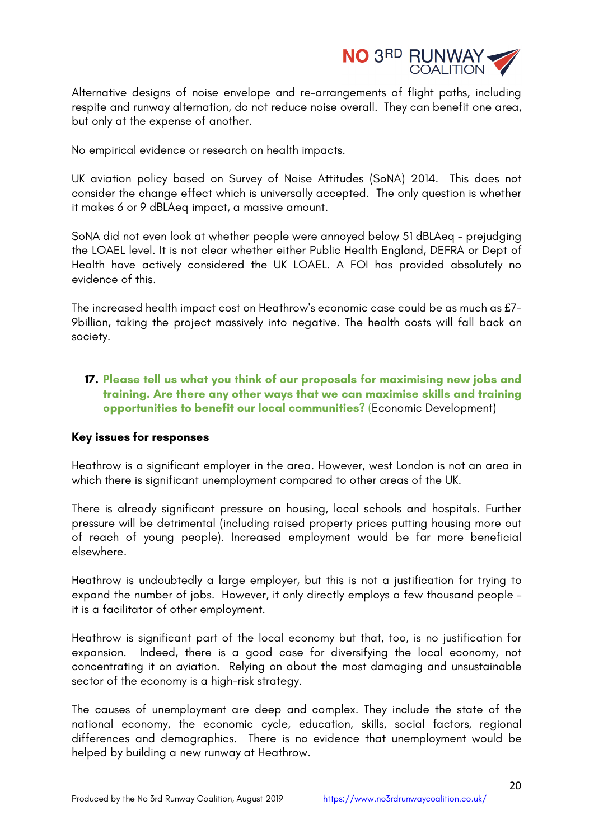

Alternative designs of noise envelope and re-arrangements of flight paths, including respite and runway alternation, do not reduce noise overall. They can benefit one area, but only at the expense of another.

No empirical evidence or research on health impacts.

UK aviation policy based on Survey of Noise Attitudes (SoNA) 2014. This does not consider the change effect which is universally accepted. The only question is whether it makes 6 or 9 dBLAeq impact, a massive amount.

SoNA did not even look at whether people were annoyed below 51 dBLAeq - prejudging the LOAEL level. It is not clear whether either Public Health England, DEFRA or Dept of Health have actively considered the UK LOAEL. A FOI has provided absolutely no evidence of this.

The increased health impact cost on Heathrow's economic case could be as much as £7- 9billion, taking the project massively into negative. The health costs will fall back on society.

# **17. Please tell us what you think of our proposals for maximising new jobs and training. Are there any other ways that we can maximise skills and training opportunities to benefit our local communities?** (Economic Development)

### **Key issues for responses**

Heathrow is a significant employer in the area. However, west London is not an area in which there is significant unemployment compared to other areas of the UK.

There is already significant pressure on housing, local schools and hospitals. Further pressure will be detrimental (including raised property prices putting housing more out of reach of young people). Increased employment would be far more beneficial elsewhere.

Heathrow is undoubtedly a large employer, but this is not a justification for trying to expand the number of jobs. However, it only directly employs a few thousand people – it is a facilitator of other employment.

Heathrow is significant part of the local economy but that, too, is no justification for expansion. Indeed, there is a good case for diversifying the local economy, not concentrating it on aviation. Relying on about the most damaging and unsustainable sector of the economy is a high-risk strategy.

The causes of unemployment are deep and complex. They include the state of the national economy, the economic cycle, education, skills, social factors, regional differences and demographics. There is no evidence that unemployment would be helped by building a new runway at Heathrow.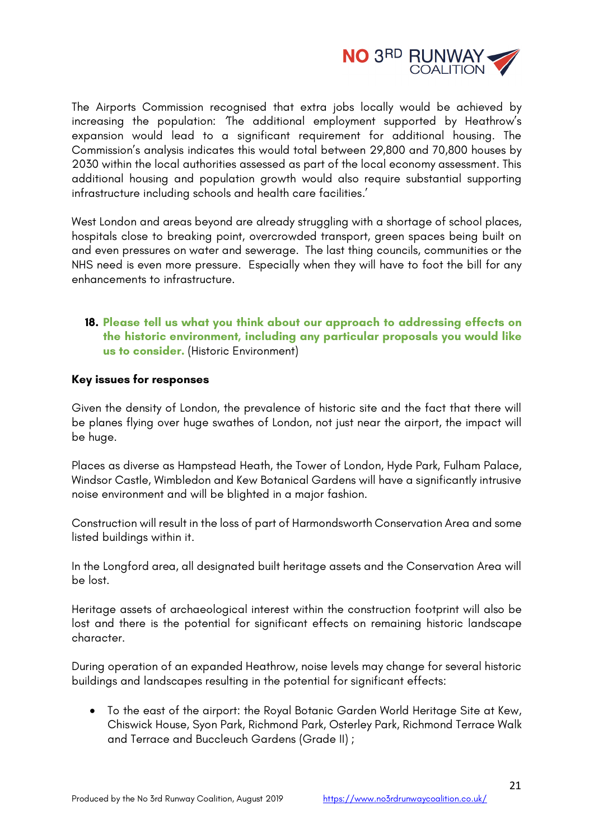

The Airports Commission recognised that extra jobs locally would be achieved by increasing the population: *'*The additional employment supported by Heathrow's expansion would lead to a significant requirement for additional housing. The Commission's analysis indicates this would total between 29,800 and 70,800 houses by 2030 within the local authorities assessed as part of the local economy assessment. This additional housing and population growth would also require substantial supporting infrastructure including schools and health care facilities*.*'

West London and areas beyond are already struggling with a shortage of school places, hospitals close to breaking point, overcrowded transport, green spaces being built on and even pressures on water and sewerage. The last thing councils, communities or the NHS need is even more pressure. Especially when they will have to foot the bill for any enhancements to infrastructure.

# **18. Please tell us what you think about our approach to addressing effects on the historic environment, including any particular proposals you would like us to consider.** (Historic Environment)

## **Key issues for responses**

Given the density of London, the prevalence of historic site and the fact that there will be planes flying over huge swathes of London, not just near the airport, the impact will be huge.

Places as diverse as Hampstead Heath, the Tower of London, Hyde Park, Fulham Palace, Windsor Castle, Wimbledon and Kew Botanical Gardens will have a significantly intrusive noise environment and will be blighted in a major fashion.

Construction will result in the loss of part of Harmondsworth Conservation Area and some listed buildings within it.

In the Longford area, all designated built heritage assets and the Conservation Area will be lost.

Heritage assets of archaeological interest within the construction footprint will also be lost and there is the potential for significant effects on remaining historic landscape character.

During operation of an expanded Heathrow, noise levels may change for several historic buildings and landscapes resulting in the potential for significant effects:

• To the east of the airport: the Royal Botanic Garden World Heritage Site at Kew, Chiswick House, Syon Park, Richmond Park, Osterley Park, Richmond Terrace Walk and Terrace and Buccleuch Gardens (Grade II) ;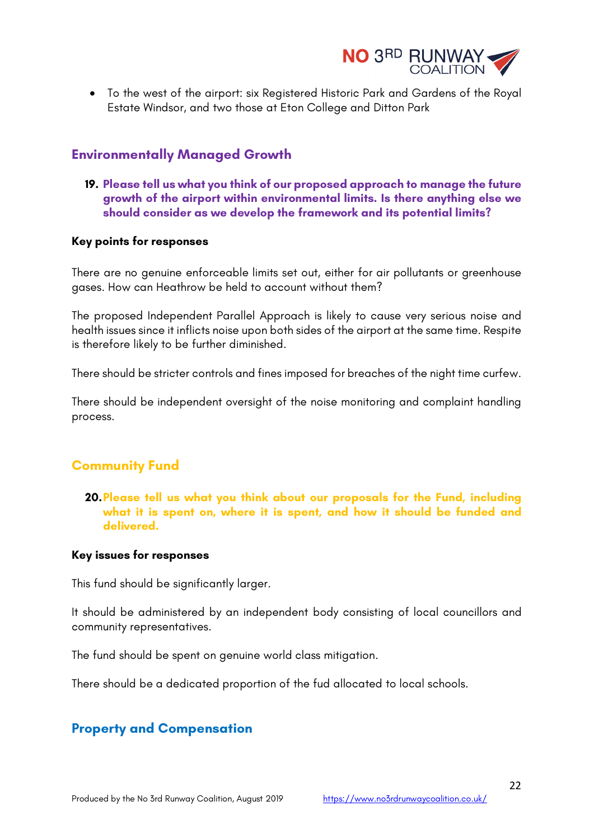

• To the west of the airport: six Registered Historic Park and Gardens of the Royal Estate Windsor, and two those at Eton College and Ditton Park

# **Environmentally Managed Growth**

**19. Please tell us what you think of our proposed approach to manage the future growth of the airport within environmental limits. Is there anything else we should consider as we develop the framework and its potential limits?** 

### **Key points for responses**

There are no genuine enforceable limits set out, either for air pollutants or greenhouse gases. How can Heathrow be held to account without them?

The proposed Independent Parallel Approach is likely to cause very serious noise and health issues since it inflicts noise upon both sides of the airport at the same time. Respite is therefore likely to be further diminished.

There should be stricter controls and fines imposed for breaches of the night time curfew.

There should be independent oversight of the noise monitoring and complaint handling process.

# **Community Fund**

**20.Please tell us what you think about our proposals for the Fund, including what it is spent on, where it is spent, and how it should be funded and delivered.** 

### **Key issues for responses**

This fund should be significantly larger.

It should be administered by an independent body consisting of local councillors and community representatives.

The fund should be spent on genuine world class mitigation.

There should be a dedicated proportion of the fud allocated to local schools.

# **Property and Compensation**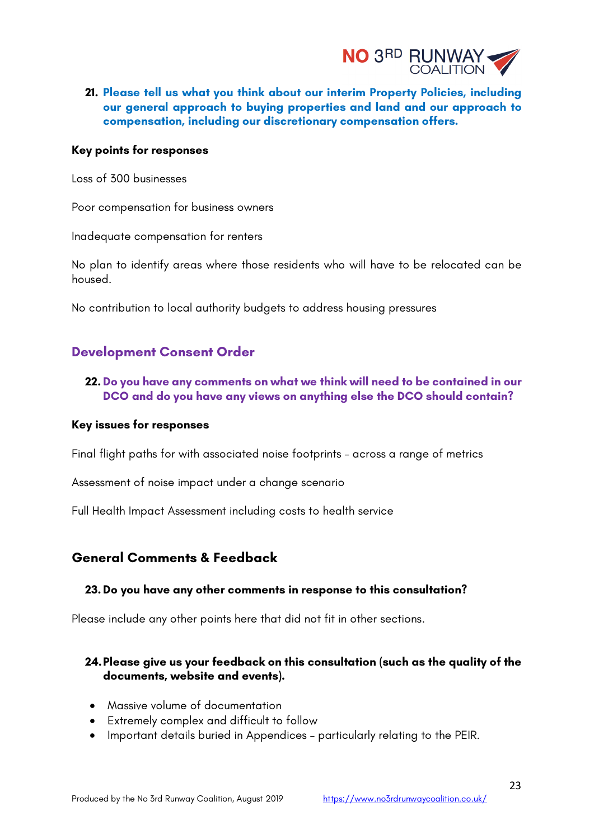

**21. Please tell us what you think about our interim Property Policies, including our general approach to buying properties and land and our approach to compensation, including our discretionary compensation offers.** 

#### **Key points for responses**

Loss of 300 businesses

Poor compensation for business owners

Inadequate compensation for renters

No plan to identify areas where those residents who will have to be relocated can be housed.

No contribution to local authority budgets to address housing pressures

# **Development Consent Order**

# **22. Do you have any comments on what we think will need to be contained in our DCO and do you have any views on anything else the DCO should contain?**

#### **Key issues for responses**

Final flight paths for with associated noise footprints – across a range of metrics

Assessment of noise impact under a change scenario

Full Health Impact Assessment including costs to health service

# **General Comments & Feedback**

### **23. Do you have any other comments in response to this consultation?**

Please include any other points here that did not fit in other sections.

## **24.Please give us your feedback on this consultation (such as the quality of the documents, website and events).**

- Massive volume of documentation
- Extremely complex and difficult to follow
- Important details buried in Appendices particularly relating to the PEIR.